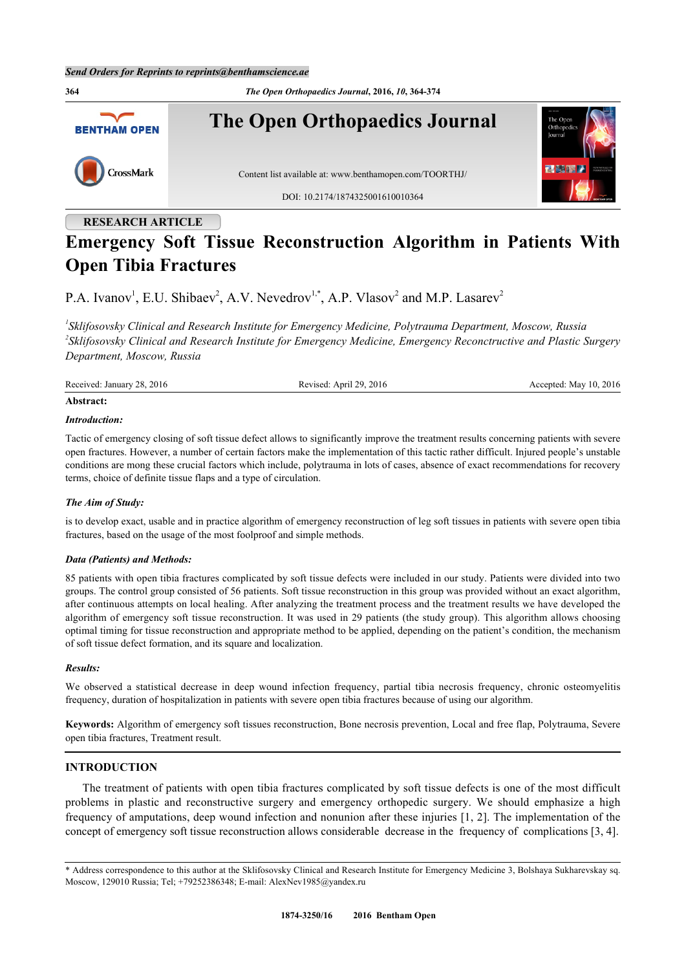

## **RESEARCH ARTICLE**

# **Emergency Soft Tissue Reconstruction Algorithm in Patients With Open Tibia Fractures**

P.A. Ivanov<sup>[1](#page-0-0)</sup>, E.U. Shibaev<sup>[2](#page-0-1)</sup>, A.V. Nevedrov<sup>[1,](#page-0-0)[\\*](#page-0-2)</sup>, A.P. Vlasov<sup>2</sup> and M.P. Lasarev<sup>2</sup>

<span id="page-0-1"></span><span id="page-0-0"></span>*1 Sklifosovsky Clinical and Research Institute for Emergency Medicine, Polytrauma Department, Moscow, Russia 2 Sklifosovsky Clinical and Research Institute for Emergency Medicine, Emergency Reconctructive and Plastic Surgery Department, Moscow, Russia*

| . | Received: January 28, 2016 | Revised: April 29, 2016 | Accepted: May 10, 2016 |
|---|----------------------------|-------------------------|------------------------|
|---|----------------------------|-------------------------|------------------------|

#### **Abstract:**

#### *Introduction:*

Tactic of emergency closing of soft tissue defect allows to significantly improve the treatment results concerning patients with severe open fractures. However, a number of certain factors make the implementation of this tactic rather difficult. Injured people's unstable conditions are mong these crucial factors which include, polytrauma in lots of cases, absence of exact recommendations for recovery terms, choice of definite tissue flaps and a type of circulation.

#### *The Aim of Study:*

is to develop exact, usable and in practice algorithm of emergency reconstruction of leg soft tissues in patients with severe open tibia fractures, based on the usage of the most foolproof and simple methods.

#### *Data (Patients) and Methods:*

85 patients with open tibia fractures complicated by soft tissue defects were included in our study. Patients were divided into two groups. The control group consisted of 56 patients. Soft tissue reconstruction in this group was provided without an exact algorithm, after continuous attempts on local healing. After analyzing the treatment process and the treatment results we have developed the algorithm of emergency soft tissue reconstruction. It was used in 29 patients (the study group). This algorithm allows choosing optimal timing for tissue reconstruction and appropriate method to be applied, depending on the patient's condition, the mechanism of soft tissue defect formation, and its square and localization.

#### *Results:*

We observed a statistical decrease in deep wound infection frequency, partial tibia necrosis frequency, chronic osteomyelitis frequency, duration of hospitalization in patients with severe open tibia fractures because of using our algorithm.

**Keywords:** Algorithm of emergency soft tissues reconstruction, Bone necrosis prevention, Local and free flap, Polytrauma, Severe open tibia fractures, Treatment result.

### **INTRODUCTION**

The treatment of patients with open tibia fractures complicated by soft tissue defects is one of the most difficult problems in plastic and reconstructive surgery and emergency orthopedic surgery. We should emphasize a high frequency of amputations, deep wound infection and nonunion after these injuries [\[1](#page-9-0), [2](#page-9-1)]. The implementation of the concept of emergency soft tissue reconstruction allows considerable decrease in the frequency of complications [\[3](#page-9-2), [4](#page-9-3)].

<span id="page-0-2"></span><sup>\*</sup> Address correspondence to this author at the Sklifosovsky Clinical and Research Institute for Emergency Medicine 3, Bolshaya Sukharevskay sq. Moscow, 129010 Russia; Tel; +79252386348; E-mail: [AlexNev1985@yandex.ru](mailto:AlexNev1985@yandex.ru)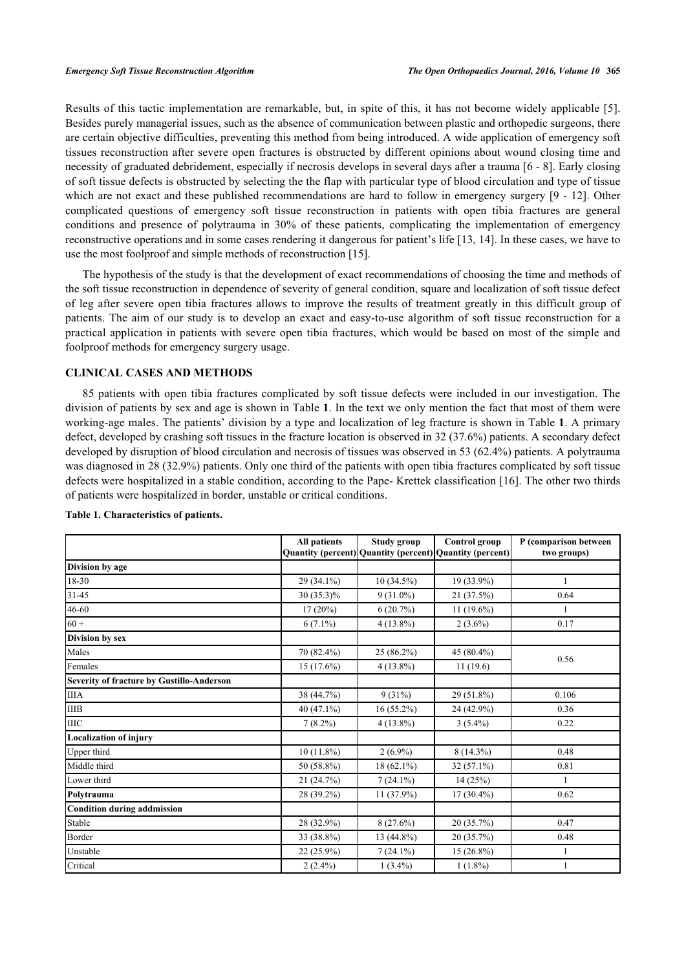Results of this tactic implementation are remarkable, but, in spite of this, it has not become widely applicable [[5\]](#page-9-4). Besides purely managerial issues, such as the absence of communication between plastic and orthopedic surgeons, there are certain objective difficulties, preventing this method from being introduced. A wide application of emergency soft tissues reconstruction after severe open fractures is obstructed by different opinions about wound closing time and necessity of graduated debridement, especially if necrosis develops in several days after a trauma [\[6](#page-9-5) - [8](#page-9-6)]. Early closing of soft tissue defects is obstructed by selecting the the flap with particular type of blood circulation and type of tissue which are not exact and these published recommendations are hard to follow in emergency surgery [\[9](#page-9-7) - [12\]](#page-9-8). Other complicated questions of emergency soft tissue reconstruction in patients with open tibia fractures are general conditions and presence of polytrauma in 30% of these patients, complicating the implementation of emergency reconstructive operations and in some cases rendering it dangerous for patient's life [\[13,](#page-10-0) [14\]](#page-10-1). In these cases, we have to use the most foolproof and simple methods of reconstruction [[15\]](#page-10-2).

The hypothesis of the study is that the development of exact recommendations of choosing the time and methods of the soft tissue reconstruction in dependence of severity of general condition, square and localization of soft tissue defect of leg after severe open tibia fractures allows to improve the results of treatment greatly in this difficult group of patients. The aim of our study is to develop an exact and easy-to-use algorithm of soft tissue reconstruction for a practical application in patients with severe open tibia fractures, which would be based on most of the simple and foolproof methods for emergency surgery usage.

#### **CLINICAL CASES AND METHODS**

85 patients with open tibia fractures complicated by soft tissue defects were included in our investigation. The division of patients by sex and age is shown in Table **[1](#page-1-0)**. In the text we only mention the fact that most of them were working-age males. The patients' division by a type and localization of leg fracture is shown in Table **[1](#page-1-0)**. A primary defect, developed by crashing soft tissues in the fracture location is observed in 32 (37.6%) patients. A secondary defect developed by disruption of blood circulation and necrosis of tissues was observed in 53 (62.4%) patients. A polytrauma was diagnosed in 28 (32.9%) patients. Only one third of the patients with open tibia fractures complicated by soft tissue defects were hospitalized in a stable condition, according to the Pape- Krettek classification [[16\]](#page-10-3). The other two thirds of patients were hospitalized in border, unstable or critical conditions.

|                                           | All patients | <b>Study group</b><br>Quantity (percent) Quantity (percent) Quantity (percent) | <b>Control group</b> | P (comparison between<br>two groups) |
|-------------------------------------------|--------------|--------------------------------------------------------------------------------|----------------------|--------------------------------------|
| Division by age                           |              |                                                                                |                      |                                      |
| 18-30                                     | 29 (34.1%)   | $10(34.5\%)$                                                                   | 19 (33.9%)           | 1                                    |
| $31 - 45$                                 | 30 (35.3)%   | $9(31.0\%)$                                                                    | 21 (37.5%)           | 0.64                                 |
| 46-60                                     | $17(20\%)$   | 6(20.7%)                                                                       | $11(19.6\%)$         | 1                                    |
| $60 +$                                    | $6(7.1\%)$   | $4(13.8\%)$                                                                    | $2(3.6\%)$           | 0.17                                 |
| Division by sex                           |              |                                                                                |                      |                                      |
| Males                                     | 70 (82.4%)   | 25 (86.2%)                                                                     | 45 (80.4%)           | 0.56                                 |
| Females                                   | 15 (17.6%)   | $4(13.8\%)$                                                                    | 11(19.6)             |                                      |
| Severity of fracture by Gustillo-Anderson |              |                                                                                |                      |                                      |
| <b>IIIA</b>                               | 38 (44.7%)   | $9(31\%)$                                                                      | 29 (51.8%)           | 0.106                                |
| <b>IIIB</b>                               | $40(47.1\%)$ | $16(55.2\%)$                                                                   | 24 (42.9%)           | 0.36                                 |
| IIIC                                      | $7(8.2\%)$   | $4(13.8\%)$                                                                    | $3(5.4\%)$           | 0.22                                 |
| <b>Localization of injury</b>             |              |                                                                                |                      |                                      |
| Upper third                               | $10(11.8\%)$ | $2(6.9\%)$                                                                     | $8(14.3\%)$          | 0.48                                 |
| Middle third                              | 50 (58.8%)   | $18(62.1\%)$                                                                   | $32(57.1\%)$         | 0.81                                 |
| Lower third                               | 21 (24.7%)   | $7(24.1\%)$                                                                    | 14(25%)              | $\mathbf{1}$                         |
| Polytrauma                                | 28 (39.2%)   | $11(37.9\%)$                                                                   | $17(30.4\%)$         | 0.62                                 |
| Condition during addmission               |              |                                                                                |                      |                                      |
| Stable                                    | 28 (32.9%)   | $8(27.6\%)$                                                                    | 20(35.7%)            | 0.47                                 |
| Border                                    | 33 (38.8%)   | 13 (44.8%)                                                                     | 20(35.7%)            | 0.48                                 |
| Unstable                                  | $22(25.9\%)$ | $7(24.1\%)$                                                                    | $15(26.8\%)$         | 1                                    |
| Critical                                  | $2(2.4\%)$   | $1(3.4\%)$                                                                     | $1(1.8\%)$           |                                      |

#### <span id="page-1-0"></span>**Table 1. Characteristics of patients.**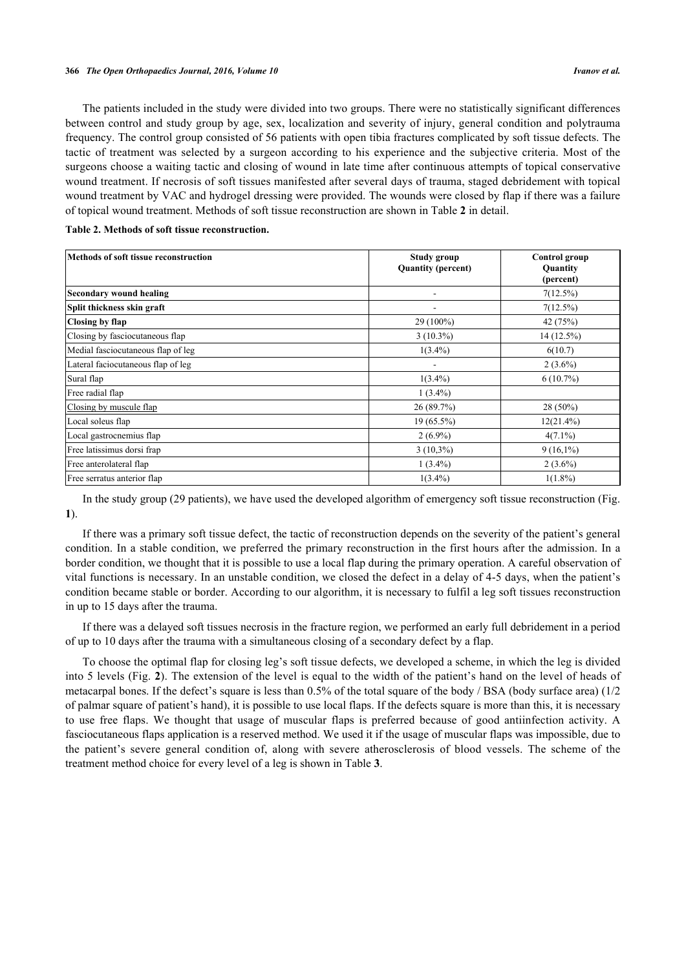The patients included in the study were divided into two groups. There were no statistically significant differences between control and study group by age, sex, localization and severity of injury, general condition and polytrauma frequency. The control group consisted of 56 patients with open tibia fractures complicated by soft tissue defects. The tactic of treatment was selected by a surgeon according to his experience and the subjective criteria. Most of the surgeons choose a waiting tactic and closing of wound in late time after continuous attempts of topical conservative wound treatment. If necrosis of soft tissues manifested after several days of trauma, staged debridement with topical wound treatment by VAC and hydrogel dressing were provided. The wounds were closed by flap if there was a failure of topical wound treatment. Methods of soft tissue reconstruction are shown in Table **[2](#page-2-0)** in detail.

<span id="page-2-0"></span>

| Table 2. Methods of soft tissue reconstruction. |  |  |
|-------------------------------------------------|--|--|
|-------------------------------------------------|--|--|

| Methods of soft tissue reconstruction | Study group               | Control group         |  |
|---------------------------------------|---------------------------|-----------------------|--|
|                                       | <b>Quantity (percent)</b> | Quantity<br>(percent) |  |
| Secondary wound healing               |                           | 7(12.5%)              |  |
| Split thickness skin graft            |                           | 7(12.5%)              |  |
| Closing by flap                       | 29 (100%)                 | 42 (75%)              |  |
| Closing by fasciocutaneous flap       | $3(10.3\%)$               | 14(12.5%)             |  |
| Medial fasciocutaneous flap of leg    | $1(3.4\%)$                | 6(10.7)               |  |
| Lateral faciocutaneous flap of leg    |                           | $2(3.6\%)$            |  |
| Sural flap                            | $1(3.4\%)$                | $6(10.7\%)$           |  |
| Free radial flap                      | $1(3.4\%)$                |                       |  |
| Closing by muscule flap               | 26(89.7%)                 | $28(50\%)$            |  |
| Local soleus flap                     | $19(65.5\%)$              | $12(21.4\%)$          |  |
| Local gastrocnemius flap              | $2(6.9\%)$                | $4(7.1\%)$            |  |
| Free latissimus dorsi frap            | $3(10,3\%)$               | $9(16,1\%)$           |  |
| Free anterolateral flap               | $1(3.4\%)$                | $2(3.6\%)$            |  |
| Free serratus anterior flap           | $1(3.4\%)$                | $1(1.8\%)$            |  |

In the study group (29 patients), we have used the developed algorithm of emergency soft tissue reconstruction (Fig. **[1](#page-2-1)**).

If there was a primary soft tissue defect, the tactic of reconstruction depends on the severity of the patient's general condition. In a stable condition, we preferred the primary reconstruction in the first hours after the admission. In a border condition, we thought that it is possible to use a local flap during the primary operation. A careful observation of vital functions is necessary. In an unstable condition, we closed the defect in a delay of 4-5 days, when the patient's condition became stable or border. According to our algorithm, it is necessary to fulfil a leg soft tissues reconstruction in up to 15 days after the trauma.

If there was a delayed soft tissues necrosis in the fracture region, we performed an early full debridement in a period of up to 10 days after the trauma with a simultaneous closing of a secondary defect by a flap.

<span id="page-2-1"></span>To choose the optimal flap for closing leg's soft tissue defects, we developed a scheme, in which the leg is divided into 5 levels (Fig. **[2](#page-3-0)**). The extension of the level is equal to the width of the patient's hand on the level of heads of metacarpal bones. If the defect's square is less than 0.5% of the total square of the body / BSA (body surface area) (1/2 of palmar square of patient's hand), it is possible to use local flaps. If the defects square is more than this, it is necessary to use free flaps. We thought that usage of muscular flaps is preferred because of good antiinfection activity. A fasciocutaneous flaps application is a reserved method. We used it if the usage of muscular flaps was impossible, due to the patient's severe general condition of, along with severe atherosclerosis of blood vessels. The scheme of the treatment method choice for every level of a leg is shown in Table **[3](#page-4-0)**.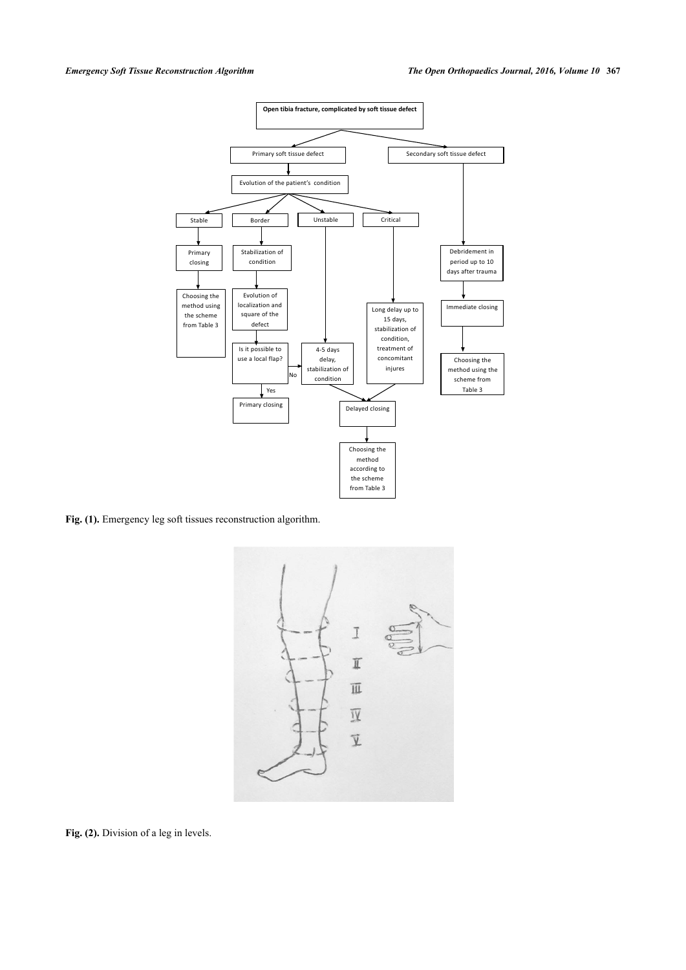

<span id="page-3-0"></span>Fig. (1). Emergency leg soft tissues reconstruction algorithm.



Fig. (2). Division of a leg in levels.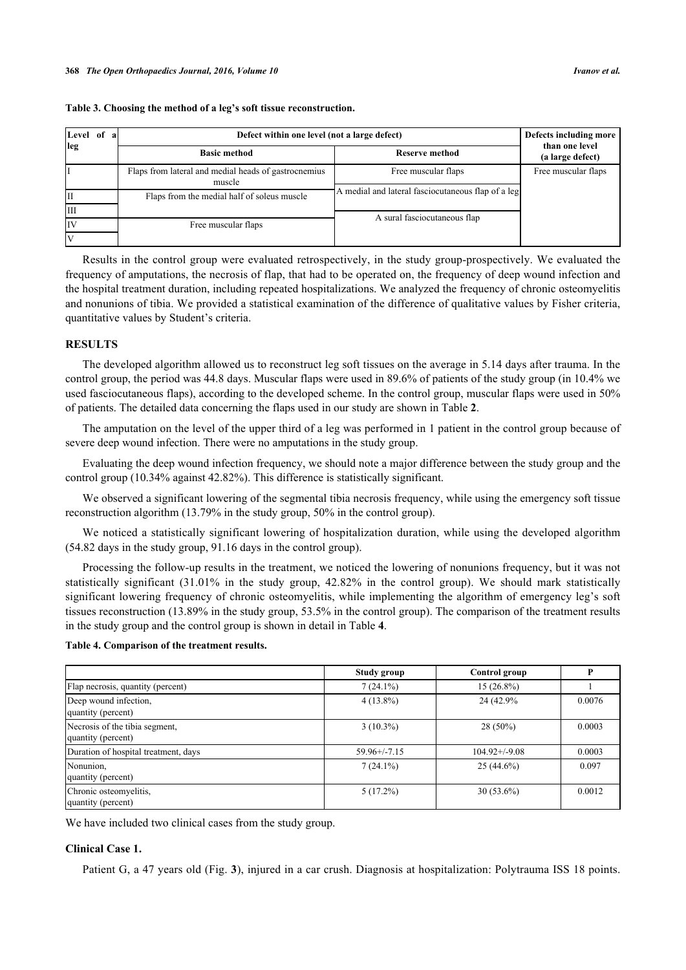| Level of a | Defect within one level (not a large defect)                   | Defects including more                             |                                    |
|------------|----------------------------------------------------------------|----------------------------------------------------|------------------------------------|
| leg        | <b>Basic method</b>                                            | Reserve method                                     | than one level<br>(a large defect) |
|            | Flaps from lateral and medial heads of gastrocnemius<br>muscle | Free muscular flaps                                | Free muscular flaps                |
|            | Flaps from the medial half of soleus muscle                    | A medial and lateral fasciocutaneous flap of a leg |                                    |
| IШ         |                                                                |                                                    |                                    |
| IIV        | Free muscular flaps                                            | A sural fasciocutaneous flap                       |                                    |
|            |                                                                |                                                    |                                    |

#### <span id="page-4-0"></span>**Table 3. Choosing the method of a leg's soft tissue reconstruction.**

Results in the control group were evaluated retrospectively, in the study group-prospectively. We evaluated the frequency of amputations, the necrosis of flap, that had to be operated on, the frequency of deep wound infection and the hospital treatment duration, including repeated hospitalizations. We analyzed the frequency of chronic osteomyelitis and nonunions of tibia. We provided a statistical examination of the difference of qualitative values by Fisher criteria, quantitative values by Student's criteria.

#### **RESULTS**

The developed algorithm allowed us to reconstruct leg soft tissues on the average in 5.14 days after trauma. In the control group, the period was 44.8 days. Muscular flaps were used in 89.6% of patients of the study group (in 10.4% we used fasciocutaneous flaps), according to the developed scheme. In the control group, muscular flaps were used in 50% оf patients. The detailed data concerning the flaps used in our study are shown in Table **[2](#page-2-0)**.

The amputation on the level of the upper third of a leg was performed in 1 patient in the control group because of severe deep wound infection. There were no amputations in the study group.

Evaluating the deep wound infection frequency, we should note a major difference between the study group and the control group (10.34% against 42.82%). This difference is statistically significant.

We observed a significant lowering of the segmental tibia necrosis frequency, while using the emergency soft tissue reconstruction algorithm (13.79% in the study group, 50% in the control group).

We noticed a statistically significant lowering of hospitalization duration, while using the developed algorithm (54.82 days in the study group, 91.16 days in the control group).

Processing the follow-up results in the treatment, we noticed the lowering of nonunions frequency, but it was not statistically significant (31.01% in the study group, 42.82% in the control group). We should mark statistically significant lowering frequency of chronic osteomyelitis, while implementing the algorithm of emergency leg's soft tissues reconstruction (13.89% in the study group, 53.5% in the control group). The comparison of the treatment results in the study group and the control group is shown in detail in Table **[4](#page-4-1)**.

#### <span id="page-4-1"></span>**Table 4. Comparison of the treatment results.**

|                                                      | Study group       | Control group      |        |
|------------------------------------------------------|-------------------|--------------------|--------|
| Flap necrosis, quantity (percent)                    | $7(24.1\%)$       | 15 (26.8%)         |        |
| Deep wound infection,<br>quantity (percent)          | $4(13.8\%)$       | 24 (42.9%)         | 0.0076 |
| Necrosis of the tibia segment,<br>quantity (percent) | $3(10.3\%)$       | $28(50\%)$         | 0.0003 |
| Duration of hospital treatment, days                 | $59.96 + (-7.15)$ | $104.92 + (-9.08)$ | 0.0003 |
| Nonunion,<br>quantity (percent)                      | $7(24.1\%)$       | $25(44.6\%)$       | 0.097  |
| Chronic osteomyelitis,<br>quantity (percent)         | $5(17.2\%)$       | $30(53.6\%)$       | 0.0012 |

We have included two clinical cases from the study group.

#### **Clinical Case 1.**

Patient G, a 47 years old (Fig. **[3](#page-5-0)**), injured in a car crush. Diagnosis at hospitalization: Polytrauma ISS 18 points.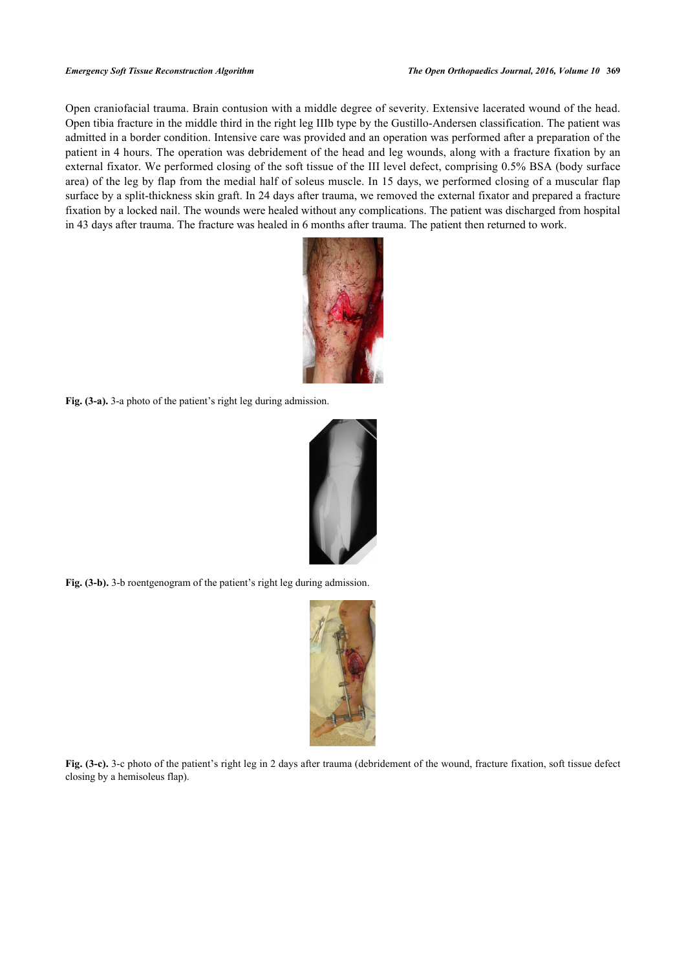<span id="page-5-0"></span>Open craniofacial trauma. Brain contusion with a middle degree of severity. Extensive lacerated wound of the head. Open tibia fracture in the middle third in the right leg IIIb type by the Gustillo-Andersen classification. The patient was admitted in a border condition. Intensive care was provided and an operation was performed after a preparation of the patient in 4 hours. The operation was debridement of the head and leg wounds, along with a fracture fixation by an external fixator. We performed closing of the soft tissue of the III level defect, comprising 0.5% BSA (body surface area) of the leg by flap from the medial half of soleus muscle. In 15 days, we performed closing of a muscular flap surface by a split-thickness skin graft. In 24 days after trauma, we removed the external fixator and prepared a fracture fixation by a locked nail. The wounds were healed without any complications. The patient was discharged from hospital in 43 days after trauma. The fracture was healed in 6 months after trauma. The patient then returned to work.



**Fig. (3-a).** 3-a photo of the patient's right leg during admission.



**Fig. (3-b).** 3-b roentgenogram of the patient's right leg during admission.



**Fig. (3-c).** 3-c photo of the patient's right leg in 2 days after trauma (debridement of the wound, fracture fixation, soft tissue defect closing by a hemisoleus flap).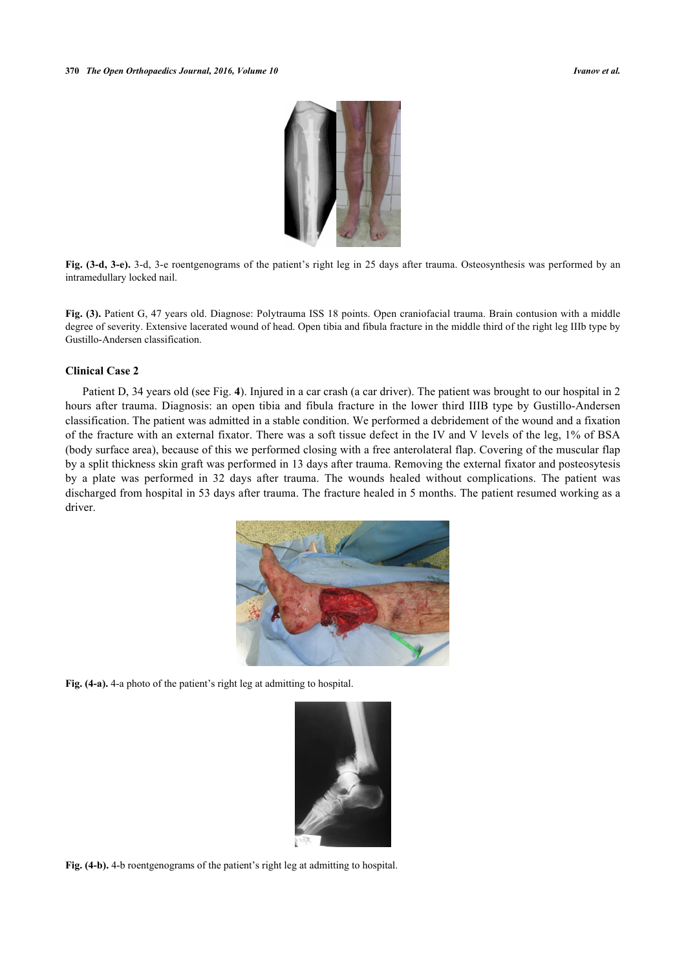

**Fig. (3-d, 3-e).** 3-d, 3-e roentgenograms of the patient's right leg in 25 days after trauma. Osteosynthesis was performed by an intramedullary locked nail.

**Fig. (3).** Patient G, 47 years old. Diagnose: Polytrauma ISS 18 points. Open craniofacial trauma. Brain contusion with a middle degree of severity. Extensive lacerated wound of head. Open tibia and fibula fracture in the middle third of the right leg IIIb type by Gustillo-Andersen classification.

### **Clinical Case 2**

<span id="page-6-0"></span>Patient D, 34 years old (see Fig. **[4](#page-6-0)**). Injured in a car crash (a car driver). The patient was brought to our hospital in 2 hours after trauma. Diagnosis: an open tibia and fibula fracture in the lower third IIIB type by Gustillo-Andersen classification. The patient was admitted in a stable condition. We performed a debridement of the wound and a fixation of the fracture with an external fixator. There was a soft tissue defect in the IV and V levels of the leg, 1% of BSA (body surface area), because of this we performed closing with a free anterolateral flap. Covering of the muscular flap by a split thickness skin graft was performed in 13 days after trauma. Removing the external fixator and posteosytesis by a plate was performed in 32 days after trauma. The wounds healed without complications. The patient was discharged from hospital in 53 days after trauma. The fracture healed in 5 months. The patient resumed working as a driver.



**Fig. (4-a).** 4-a photo of the patient's right leg at admitting to hospital.



**Fig. (4-b).** 4-b roentgenograms of the patient's right leg at admitting to hospital.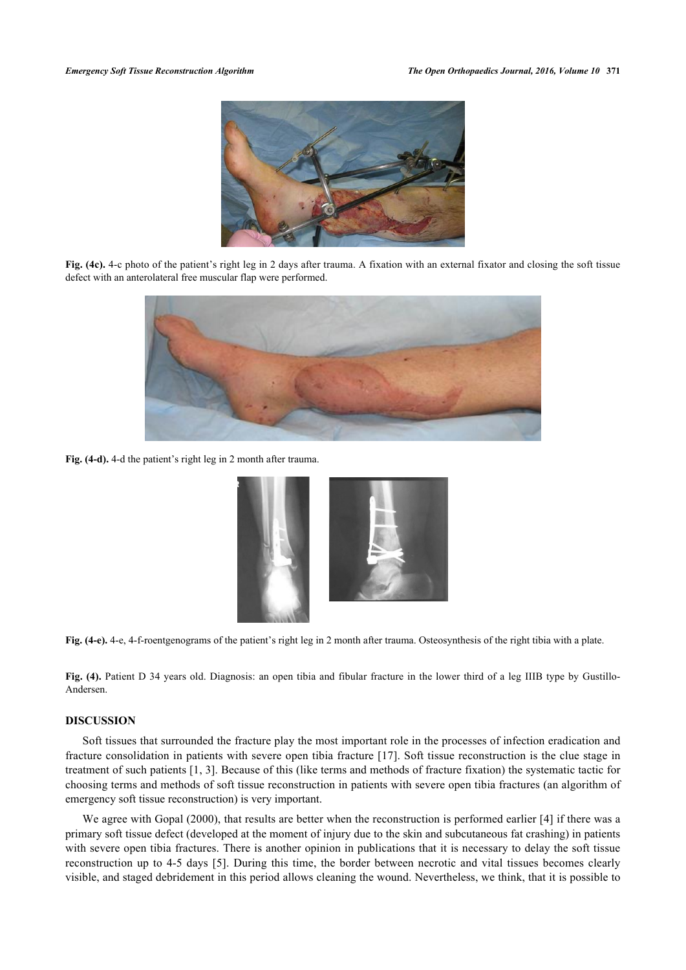

**Fig. (4c).** 4-c photo of the patient's right leg in 2 days after trauma. A fixation with an external fixator and closing the soft tissue defect with an anterolateral free muscular flap were performed.



**Fig. (4-d).** 4-d the patient's right leg in 2 month after trauma.



**Fig. (4-e).** 4-e, 4-f-roentgenograms of the patient's right leg in 2 month after trauma. Osteosynthesis of the right tibia with a plate.

**Fig. (4).** Patient D 34 years old. Diagnosis: an open tibia and fibular fracture in the lower third of a leg IIIB type by Gustillo-Andersen.

#### **DISCUSSION**

Soft tissues that surrounded the fracture play the most important role in the processes of infection eradication and fracture consolidation in patients with severe open tibia fracture [\[17\]](#page-10-4). Soft tissue reconstruction is the clue stage in treatment of such patients [[1](#page-9-0), [3](#page-9-2)]. Because of this (like terms and methods of fracture fixation) the systematic tactic for choosing terms and methods of soft tissue reconstruction in patients with severe open tibia fractures (an algorithm of emergency soft tissue reconstruction) is very important.

We agree with Gopal (2000), that results are better when the reconstruction is performed earlier [[4](#page-9-3)] if there was a primary soft tissue defect (developed at the moment of injury due to the skin and subcutaneous fat crashing) in patients with severe open tibia fractures. There is another opinion in publications that it is necessary to delay the soft tissue reconstruction up to 4-5 days [[5](#page-9-4)]. During this time, the border between necrotic and vital tissues becomes clearly visible, and staged debridement in this period allows cleaning the wound. Nevertheless, we think, that it is possible to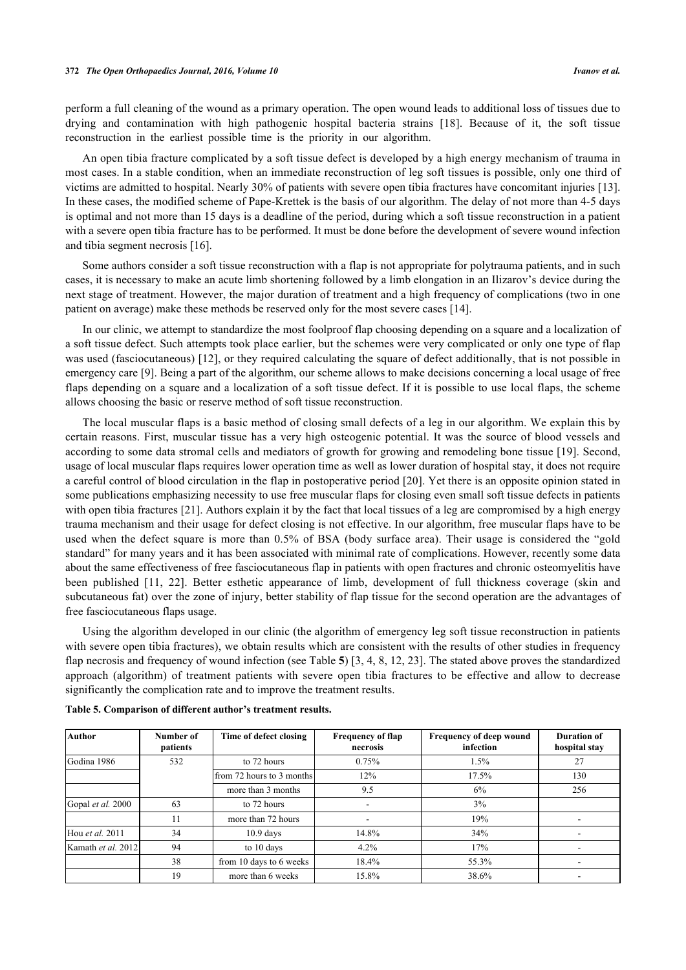perform a full cleaning of the wound as a primary operation. The open wound leads to additional loss of tissues due to drying and contamination with high pathogenic hospital bacteria strains [\[18\]](#page-10-5). Because of it, the soft tissue reconstruction in the earliest possible time is the priority in our algorithm.

An open tibia fracture complicated by a soft tissue defect is developed by a high energy mechanism of trauma in most cases. In a stable condition, when an immediate reconstruction of leg soft tissues is possible, only one third of victims are admitted to hospital. Nearly 30% of patients with severe open tibia fractures have concomitant injuries [[13\]](#page-10-0). In these cases, the modified scheme of Pape-Krettek is the basis of our algorithm. The delay of not more than 4-5 days is optimal and not more than 15 days is a deadline of the period, during which a soft tissue reconstruction in a patient with a severe open tibia fracture has to be performed. It must be done before the development of severe wound infection and tibia segment necrosis [\[16](#page-10-3)].

Some authors consider a soft tissue reconstruction with a flap is not appropriate for polytrauma patients, and in such cases, it is necessary to make an acute limb shortening followed by a limb elongation in an Ilizarov's device during the next stage of treatment. However, the major duration of treatment and a high frequency of complications (two in one patient on average) make these methods be reserved only for the most severe cases [[14\]](#page-10-1).

In our clinic, we attempt to standardize the most foolproof flap choosing depending on a square and a localization of a soft tissue defect. Such attempts took place earlier, but the schemes were very complicated or only one type of flap was used (fasciocutaneous) [[12\]](#page-9-8), or they required calculating the square of defect additionally, that is not possible in emergency care [[9\]](#page-9-7). Being a part of the algorithm, our scheme allows to make decisions concerning a local usage of free flaps depending on a square and a localization of a soft tissue defect. If it is possible to use local flaps, the scheme allows choosing the basic or reserve method of soft tissue reconstruction.

The local muscular flaps is a basic method of closing small defects of a leg in our algorithm. We explain this by certain reasons. First, muscular tissue has a very high osteogenic potential. It was the source of blood vessels and according to some data stromal cells and mediators of growth for growing and remodeling bone tissue [[19](#page-10-6)]. Second, usage of local muscular flaps requires lower operation time as well as lower duration of hospital stay, it does not require a careful control of blood circulation in the flap in postoperative period [[20](#page-10-7)]. Yet there is an opposite opinion stated in some publications emphasizing necessity to use free muscular flaps for closing even small soft tissue defects in patients with open tibia fractures [\[21](#page-10-8)]. Authors explain it by the fact that local tissues of a leg are compromised by a high energy trauma mechanism and their usage for defect closing is not effective. In our algorithm, free muscular flaps have to be used when the defect square is more than 0.5% of BSA (body surface area). Their usage is considered the "gold standard" for many years and it has been associated with minimal rate of complications. However, recently some data about the same effectiveness of free fasciocutaneous flap in patients with open fractures and chronic osteomyelitis have been published[[11](#page-9-9), [22\]](#page-10-9). Better esthetic appearance of limb, development of full thickness coverage (skin and subcutaneous fat) over the zone of injury, better stability of flap tissue for the second operation are the advantages of free fasciocutaneous flaps usage.

Using the algorithm developed in our clinic (the algorithm of emergency leg soft tissue reconstruction in patients with severe open tibia fractures), we obtain results which are consistent with the results of other studies in frequency flap necrosis and frequency of wound infection (see Table **[5](#page-8-0)**) [\[3](#page-9-2), [4,](#page-9-3) [8,](#page-9-6) [12,](#page-9-8) [23](#page-10-10)]. The stated above proves the standardized approach (algorithm) of treatment patients with severe open tibia fractures to be effective and allow to decrease significantly the complication rate and to improve the treatment results.

| <b>Author</b>      | Number of<br>patients | Time of defect closing    | <b>Frequency of flap</b><br>necrosis | <b>Frequency of deep wound</b><br>infection | <b>Duration of</b><br>hospital stay |
|--------------------|-----------------------|---------------------------|--------------------------------------|---------------------------------------------|-------------------------------------|
| Godina 1986        | 532                   | to 72 hours               | 0.75%                                | 1.5%                                        | 27                                  |
|                    |                       | from 72 hours to 3 months | 12%                                  | 17.5%                                       | 130                                 |
|                    |                       | more than 3 months        | 9.5                                  | 6%                                          | 256                                 |
| Gopal et al. 2000  | 63                    | to 72 hours               |                                      | 3%                                          |                                     |
|                    | 11                    | more than 72 hours        |                                      | 19%                                         |                                     |
| Hou et al. 2011    | 34                    | $10.9$ days               | 14.8%                                | 34%                                         |                                     |
| Kamath et al. 2012 | 94                    | to 10 days                | 4.2%                                 | 17%                                         |                                     |
|                    | 38                    | from 10 days to 6 weeks   | 18.4%                                | 55.3%                                       |                                     |
|                    | 19                    | more than 6 weeks         | 15.8%                                | 38.6%                                       |                                     |

<span id="page-8-0"></span>**Table 5. Comparison of different author's treatment results.**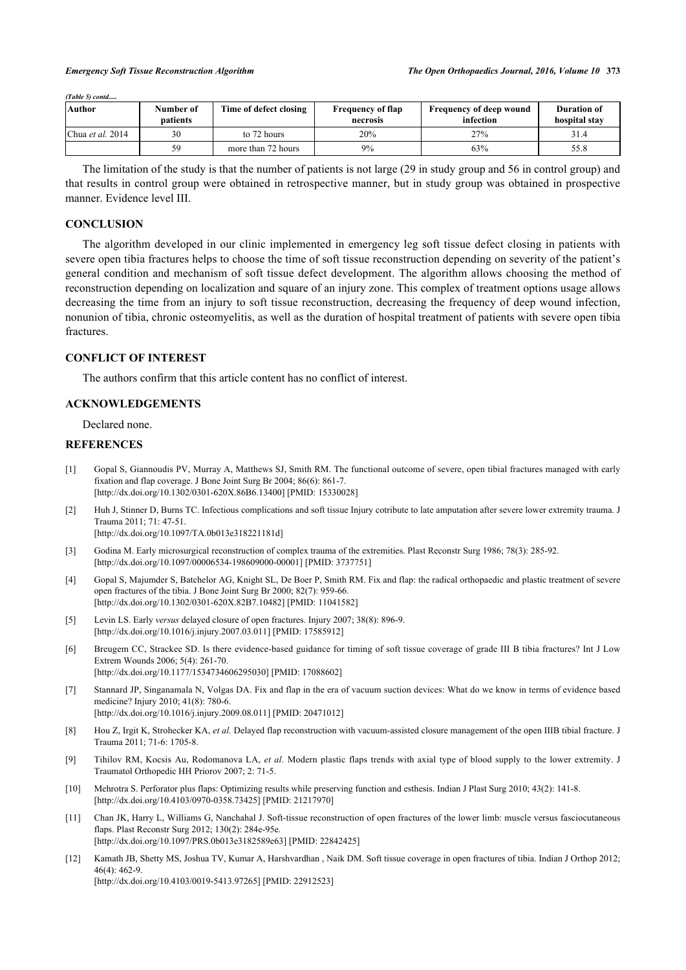*(Table 5) contd.....*

| <b>Author</b>             | Number of<br>patients | Time of defect closing | <b>Frequency of flap</b><br>necrosis | <b>Frequency of deep wound</b><br>infection | <b>Duration of</b><br>hospital stav |
|---------------------------|-----------------------|------------------------|--------------------------------------|---------------------------------------------|-------------------------------------|
| Chua <i>et al.</i> $2014$ | 30                    | to 72 hours            | 20%                                  | 27%                                         | 31.4                                |
|                           | 50                    | more than 72 hours     | $9\%$                                | 63%                                         | 55.8                                |

The limitation of the study is that the number of patients is not large (29 in study group and 56 in control group) and that results in control group were obtained in retrospective manner, but in study group was obtained in prospective manner. Evidence level III.

### **CONCLUSION**

The algorithm developed in our clinic implemented in emergency leg soft tissue defect closing in patients with severe open tibia fractures helps to choose the time of soft tissue reconstruction depending on severity of the patient's general condition and mechanism of soft tissue defect development. The algorithm allows choosing the method of reconstruction depending on localization and square of an injury zone. This complex of treatment options usage allows decreasing the time from an injury to soft tissue reconstruction, decreasing the frequency of deep wound infection, nonunion of tibia, chronic osteomyelitis, as well as the duration of hospital treatment of patients with severe open tibia fractures.

#### **CONFLICT OF INTEREST**

The authors confirm that this article content has no conflict of interest.

#### **ACKNOWLEDGEMENTS**

Declared none.

### **REFERENCES**

- <span id="page-9-0"></span>[1] Gopal S, Giannoudis PV, Murray A, Matthews SJ, Smith RM. The functional outcome of severe, open tibial fractures managed with early fixation and flap coverage. J Bone Joint Surg Br 2004; 86(6): 861-7. [\[http://dx.doi.org/10.1302/0301-620X.86B6.13400\]](http://dx.doi.org/10.1302/0301-620X.86B6.13400) [PMID: [15330028](http://www.ncbi.nlm.nih.gov/pubmed/15330028)]
- <span id="page-9-1"></span>[2] Huh J, Stinner D, Burns TC. Infectious complications and soft tissue Injury cotribute to late amputation after severe lower extremity trauma. J Trauma 2011; 71: 47-51. [\[http://dx.doi.org/10.1097/TA.0b013e318221181d](http://dx.doi.org/10.1097/TA.0b013e318221181d)]
- <span id="page-9-2"></span>[3] Godina M. Early microsurgical reconstruction of complex trauma of the extremities. Plast Reconstr Surg 1986; 78(3): 285-92. [\[http://dx.doi.org/10.1097/00006534-198609000-00001](http://dx.doi.org/10.1097/00006534-198609000-00001)] [PMID: [3737751\]](http://www.ncbi.nlm.nih.gov/pubmed/3737751)
- <span id="page-9-3"></span>[4] Gopal S, Majumder S, Batchelor AG, Knight SL, De Boer P, Smith RM. Fix and flap: the radical orthopaedic and plastic treatment of severe open fractures of the tibia. J Bone Joint Surg Br 2000; 82(7): 959-66. [\[http://dx.doi.org/10.1302/0301-620X.82B7.10482\]](http://dx.doi.org/10.1302/0301-620X.82B7.10482) [PMID: [11041582](http://www.ncbi.nlm.nih.gov/pubmed/11041582)]
- <span id="page-9-4"></span>[5] Levin LS. Early *versus* delayed closure of open fractures. Injury 2007; 38(8): 896-9. [\[http://dx.doi.org/10.1016/j.injury.2007.03.011](http://dx.doi.org/10.1016/j.injury.2007.03.011)] [PMID: [17585912\]](http://www.ncbi.nlm.nih.gov/pubmed/17585912)
- <span id="page-9-5"></span>[6] Breugem CC, Strackee SD. Is there evidence-based guidance for timing of soft tissue coverage of grade III B tibia fractures? Int J Low Extrem Wounds 2006; 5(4): 261-70. [\[http://dx.doi.org/10.1177/1534734606295030\]](http://dx.doi.org/10.1177/1534734606295030) [PMID: [17088602](http://www.ncbi.nlm.nih.gov/pubmed/17088602)]
- [7] Stannard JP, Singanamala N, Volgas DA. Fix and flap in the era of vacuum suction devices: What do we know in terms of evidence based medicine? Injury 2010; 41(8): 780-6. [\[http://dx.doi.org/10.1016/j.injury.2009.08.011](http://dx.doi.org/10.1016/j.injury.2009.08.011)] [PMID: [20471012\]](http://www.ncbi.nlm.nih.gov/pubmed/20471012)
- <span id="page-9-6"></span>[8] Hou Z, Irgit K, Strohecker KA, *et al.* Delayed flap reconstruction with vacuum-assisted closure management of the open IIIB tibial fracture. J Trauma 2011; 71-6: 1705-8.
- <span id="page-9-7"></span>[9] Tihilov RМ, Kocsis Аu, Rodomanova LА, *et al.* Modern plastic flaps trends with axial type of blood supply to the lower extremity. J Traumatol Orthopedic HH Priorov 2007; 2: 71-5.
- [10] Mehrotra S. Perforator plus flaps: Optimizing results while preserving function and esthesis. Indian J Plast Surg 2010; 43(2): 141-8. [\[http://dx.doi.org/10.4103/0970-0358.73425](http://dx.doi.org/10.4103/0970-0358.73425)] [PMID: [21217970](http://www.ncbi.nlm.nih.gov/pubmed/21217970)]
- <span id="page-9-9"></span>[11] Chan JK, Harry L, Williams G, Nanchahal J. Soft-tissue reconstruction of open fractures of the lower limb: muscle versus fasciocutaneous flaps. Plast Reconstr Surg 2012; 130(2): 284e-95e. [\[http://dx.doi.org/10.1097/PRS.0b013e3182589e63](http://dx.doi.org/10.1097/PRS.0b013e3182589e63)] [PMID: [22842425\]](http://www.ncbi.nlm.nih.gov/pubmed/22842425)
- <span id="page-9-8"></span>[12] Kamath JB, Shetty MS, Joshua TV, Kumar A, Harshvardhan , Naik DM. Soft tissue coverage in open fractures of tibia. Indian J Orthop 2012;  $46(4)$ :  $462-9$ [\[http://dx.doi.org/10.4103/0019-5413.97265](http://dx.doi.org/10.4103/0019-5413.97265)] [PMID: [22912523](http://www.ncbi.nlm.nih.gov/pubmed/22912523)]